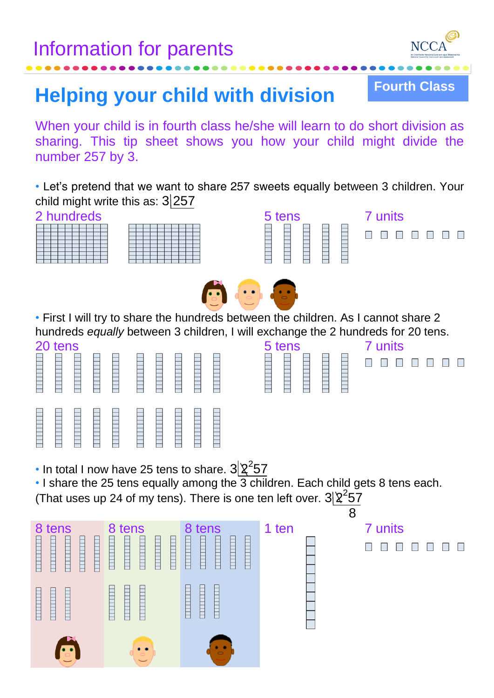

**THE REAL PROPERTY OF ST** 

**Fourth Class**

## ...parents **Helping your child with division**

When your child is in fourth class he/she will learn to do short division as sharing. This tip sheet shows you how your child might divide the number 257 by 3.

*•* Let's pretend that we want to share 257 sweets equally between 3 children. Your child might write this as:  $3\overline{257}$ <br>2 bundreds

|  | UM | iul eus |  |  |  |
|--|----|---------|--|--|--|
|  |    |         |  |  |  |
|  |    |         |  |  |  |
|  |    |         |  |  |  |
|  |    |         |  |  |  |
|  |    |         |  |  |  |
|  |    |         |  |  |  |
|  |    |         |  |  |  |
|  |    |         |  |  |  |
|  |    |         |  |  |  |







*•* First I will try to share the hundreds between the children. As I cannot share 2 hundreds *equally* between 3 children, I will exchange the 2 hundreds for 20 tens.

| 20 tens               |             |                          |             |                      |                  |                  |             | 5 tens                                                   | 7 units |
|-----------------------|-------------|--------------------------|-------------|----------------------|------------------|------------------|-------------|----------------------------------------------------------|---------|
| ⊢<br>Ē<br>⊢<br>⊢      | E<br>⊢      | $\overline{a}$<br>⊢<br>⊢ | F<br>⊣<br>═ | Н<br><u>s en als</u> | ⊢<br>⊢<br>⊢<br>⊢ | ⊢<br>⊢<br>⊢<br>⊢ | E           | ⊢<br>F<br>–<br>F<br>–<br>⊢<br>⊢<br>–<br>F<br>_<br>═<br>_ | $\Box$  |
| ⊢<br>⊢<br>⊢<br>⊢<br>ー | ⊢<br>F<br>⊢ | ⊢<br>⊢<br>⊢<br>─         | ⊢<br>__     | E                    | ⊢<br>⊢<br>⊢      | ═<br>⊢<br>_      | ⊢<br>⊢<br>─ |                                                          |         |

| 5 tens |  | units |
|--------|--|-------|
|        |  |       |

|  | • In total I now have 25 tens to share. $3\frac{2^2}{57}$ |  |  |  |
|--|-----------------------------------------------------------|--|--|--|
|--|-----------------------------------------------------------|--|--|--|

*•* I share the 25 tens equally among the 3 children. Each child gets 8 tens each. (That uses up 24 of my tens). There is one ten left over.  $3\frac{2^2}{57}$ 



**. . . . . .**